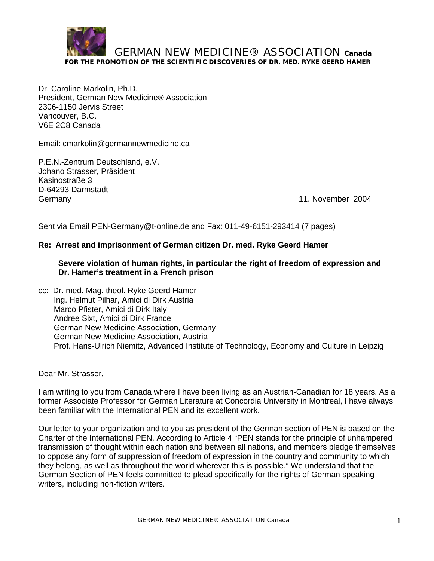

Dr. Caroline Markolin, Ph.D. President, German New Medicine® Association 2306-1150 Jervis Street Vancouver, B.C. V6E 2C8 Canada

Email: cmarkolin@germannewmedicine.ca

P.E.N.-Zentrum Deutschland, e.V. Johano Strasser, Präsident Kasinostraße 3 D-64293 Darmstadt Germany 11. November 2004

Sent via Email PEN-Germany@t-online.de and Fax: 011-49-6151-293414 (7 pages)

## **Re: Arrest and imprisonment of German citizen Dr. med. Ryke Geerd Hamer**

### **Severe violation of human rights, in particular the right of freedom of expression and Dr. Hamer's treatment in a French prison**

cc: Dr. med. Mag. theol. Ryke Geerd Hamer Ing. Helmut Pilhar, Amici di Dirk Austria Marco Pfister, Amici di Dirk Italy Andree Sixt, Amici di Dirk France German New Medicine Association, Germany German New Medicine Association, Austria Prof. Hans-Ulrich Niemitz, Advanced Institute of Technology, Economy and Culture in Leipzig

#### Dear Mr. Strasser,

I am writing to you from Canada where I have been living as an Austrian-Canadian for 18 years. As a former Associate Professor for German Literature at Concordia University in Montreal, I have always been familiar with the International PEN and its excellent work.

Our letter to your organization and to you as president of the German section of PEN is based on the Charter of the International PEN. According to Article 4 "PEN stands for the principle of unhampered transmission of thought within each nation and between all nations, and members pledge themselves to oppose any form of suppression of freedom of expression in the country and community to which they belong, as well as throughout the world wherever this is possible." We understand that the German Section of PEN feels committed to plead specifically for the rights of German speaking writers, including non-fiction writers.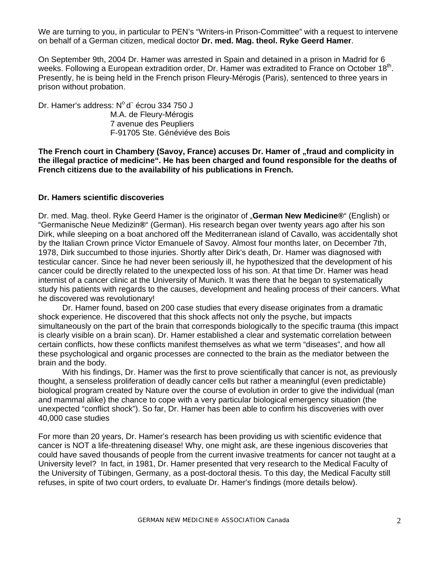We are turning to you, in particular to PEN's "Writers-in Prison-Committee" with a request to intervene on behalf of a German citizen, medical doctor **Dr. med. Mag. theol. Ryke Geerd Hamer**.

On September 9th, 2004 Dr. Hamer was arrested in Spain and detained in a prison in Madrid for 6 weeks. Following a European extradition order, Dr. Hamer was extradited to France on October 18<sup>th</sup>. Presently, he is being held in the French prison Fleury-Mérogis (Paris), sentenced to three years in prison without probation.

Dr. Hamer's address:  $N^{\circ}$  d` écrou 334 750 J M.A. de Fleury-Mérogis 7 avenue des Peupliers F-91705 Ste. Généviéve des Bois

The French court in Chambery (Savoy, France) accuses Dr. Hamer of "fraud and complicity in **the illegal practice of medicine". He has been charged and found responsible for the deaths of French citizens due to the availability of his publications in French.** 

#### **Dr. Hamers scientific discoveries**

Dr. med. Mag. theol. Ryke Geerd Hamer is the originator of "**German New Medicine®**" (English) or "Germanische Neue Medizin**®**" (German). His research began over twenty years ago after his son Dirk, while sleeping on a boat anchored off the Mediterranean island of Cavallo, was accidentally shot by the Italian Crown prince Victor Emanuele of Savoy. Almost four months later, on December 7th, 1978, Dirk succumbed to those injuries. Shortly after Dirk's death, Dr. Hamer was diagnosed with testicular cancer. Since he had never been seriously ill, he hypothesized that the development of his cancer could be directly related to the unexpected loss of his son. At that time Dr. Hamer was head internist of a cancer clinic at the University of Munich. It was there that he began to systematically study his patients with regards to the causes, development and healing process of their cancers. What he discovered was revolutionary!

Dr. Hamer found, based on 200 case studies that every disease originates from a dramatic shock experience. He discovered that this shock affects not only the psyche, but impacts simultaneously on the part of the brain that corresponds biologically to the specific trauma (this impact is clearly visible on a brain scan). Dr. Hamer established a clear and systematic correlation between certain conflicts, how these conflicts manifest themselves as what we term "diseases", and how all these psychological and organic processes are connected to the brain as the mediator between the brain and the body.

With his findings, Dr. Hamer was the first to prove scientifically that cancer is not, as previously thought, a senseless proliferation of deadly cancer cells but rather a meaningful (even predictable) biological program created by Nature over the course of evolution in order to give the individual (man and mammal alike) the chance to cope with a very particular biological emergency situation (the unexpected "conflict shock"). So far, Dr. Hamer has been able to confirm his discoveries with over 40,000 case studies

For more than 20 years, Dr. Hamer's research has been providing us with scientific evidence that cancer is NOT a life-threatening disease! Why, one might ask, are these ingenious discoveries that could have saved thousands of people from the current invasive treatments for cancer not taught at a University level? In fact, in 1981, Dr. Hamer presented that very research to the Medical Faculty of the University of Tübingen, Germany, as a post-doctoral thesis. To this day, the Medical Faculty still refuses, in spite of two court orders, to evaluate Dr. Hamer's findings (more details below).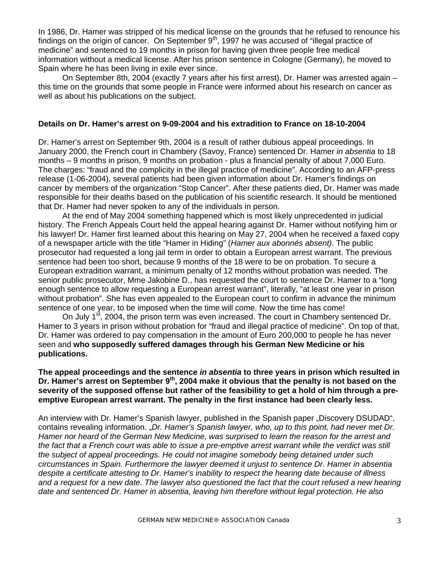In 1986, Dr. Hamer was stripped of his medical license on the grounds that he refused to renounce his findings on the origin of cancer. On September  $9<sup>th</sup>$ , 1997 he was accused of "illegal practice of medicine" and sentenced to 19 months in prison for having given three people free medical information without a medical license. After his prison sentence in Cologne (Germany), he moved to Spain where he has been living in exile ever since.

On September 8th, 2004 (exactly 7 years after his first arrest), Dr. Hamer was arrested again – this time on the grounds that some people in France were informed about his research on cancer as well as about his publications on the subject.

#### **Details on Dr. Hamer's arrest on 9-09-2004 and his extradition to France on 18-10-2004**

Dr. Hamer's arrest on September 9th, 2004 is a result of rather dubious appeal proceedings. In January 2000, the French court in Chambery (Savoy, France) sentenced Dr. Hamer *in absentia* to 18 months – 9 months in prison, 9 months on probation - plus a financial penalty of about 7,000 Euro. The charges: "fraud and the complicity in the illegal practice of medicine". According to an AFP-press release (1-06-2004), several patients had been given information about Dr. Hamer's findings on cancer by members of the organization "Stop Cancer". After these patients died, Dr. Hamer was made responsible for their deaths based on the publication of his scientific research. It should be mentioned that Dr. Hamer had never spoken to any of the individuals in person.

 At the end of May 2004 something happened which is most likely unprecedented in judicial history. The French Appeals Court held the appeal hearing against Dr. Hamer without notifying him or his lawyer! Dr. Hamer first learned about this hearing on May 27, 2004 when he received a faxed copy of a newspaper article with the title "Hamer in Hiding" (*Hamer aux abonnés absent)*. The public prosecutor had requested a long jail term in order to obtain a European arrest warrant. The previous sentence had been too short, because 9 months of the 18 were to be on probation. To secure a European extradition warrant, a minimum penalty of 12 months without probation was needed. The senior public prosecutor, Mme Jakobine D., has requested the court to sentence Dr. Hamer to a "long enough sentence to allow requesting a European arrest warrant", literally, "at least one year in prison without probation". She has even appealed to the European court to confirm in advance the minimum sentence of one year, to be imposed when the time will come. Now the time has come!

On July 1<sup>st</sup>, 2004, the prison term was even increased. The court in Chambery sentenced Dr. Hamer to 3 years in prison without probation for "fraud and illegal practice of medicine". On top of that, Dr. Hamer was ordered to pay compensation in the amount of Euro 200,000 to people he has never seen and **who supposedly suffered damages through his German New Medicine or his publications.** 

## **The appeal proceedings and the sentence** *in absentia* **to three years in prison which resulted in Dr. Hamer's arrest on September 9th, 2004 make it obvious that the penalty is not based on the severity of the supposed offense but rather of the feasibility to get a hold of him through a preemptive European arrest warrant. The penalty in the first instance had been clearly less.**

An interview with Dr. Hamer's Spanish lawyer, published in the Spanish paper "Discovery DSUDAD", contains revealing information. "*Dr. Hamer's Spanish lawyer, who, up to this point, had never met Dr. Hamer nor heard of the German New Medicine, was surprised to learn the reason for the arrest and the fact that a French court was able to issue a pre-emptive arrest warrant while the verdict was still the subject of appeal proceedings. He could not imagine somebody being detained under such circumstances in Spain. Furthermore the lawyer deemed it unjust to sentence Dr. Hamer in absentia despite a certificate attesting to Dr. Hamer's inability to respect the hearing date because of illness and a request for a new date. The lawyer also questioned the fact that the court refused a new hearing date and sentenced Dr. Hamer in absentia, leaving him therefore without legal protection. He also*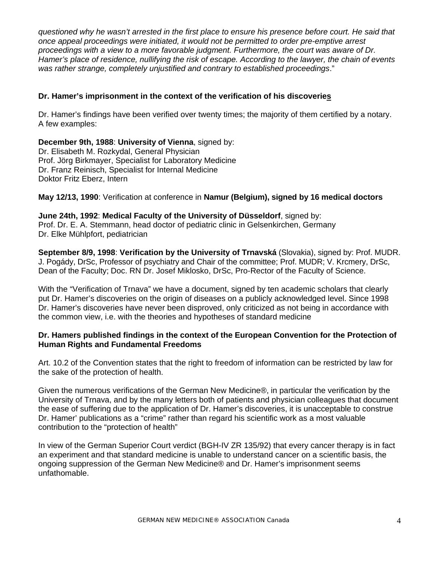*questioned why he wasn't arrested in the first place to ensure his presence before court. He said that once appeal proceedings were initiated, it would not be permitted to order pre-emptive arrest proceedings with a view to a more favorable judgment. Furthermore, the court was aware of Dr. Hamer's place of residence, nullifying the risk of escape. According to the lawyer, the chain of events was rather strange, completely unjustified and contrary to established proceedings*."

# **Dr. Hamer's imprisonment in the context of the verification of his discoveries**

Dr. Hamer's findings have been verified over twenty times; the majority of them certified by a notary. A few examples:

**December 9th, 1988**: **University of Vienna**, signed by: Dr. Elisabeth M. Rozkydal, General Physician Prof. Jörg Birkmayer, Specialist for Laboratory Medicine Dr. Franz Reinisch, Specialist for Internal Medicine Doktor Fritz Eberz, Intern

## **May 12/13, 1990**: Verification at conference in **Namur (Belgium), signed by 16 medical doctors**

# **June 24th, 1992**: **Medical Faculty of the University of Düsseldorf**, signed by:

Prof. Dr. E. A. Stemmann, head doctor of pediatric clinic in Gelsenkirchen, Germany Dr. Elke Mühlpfort, pediatrician

**September 8/9, 1998**: **Verification by the University of Trnavská** (Slovakia), signed by: Prof. MUDR. J. Pogády, DrSc, Professor of psychiatry and Chair of the committee; Prof. MUDR; V. Krcmery, DrSc, Dean of the Faculty; Doc. RN Dr. Josef Miklosko, DrSc, Pro-Rector of the Faculty of Science.

With the "Verification of Trnava" we have a document, signed by ten academic scholars that clearly put Dr. Hamer's discoveries on the origin of diseases on a publicly acknowledged level. Since 1998 Dr. Hamer's discoveries have never been disproved, only criticized as not being in accordance with the common view, i.e. with the theories and hypotheses of standard medicine

# **Dr. Hamers published findings in the context of the European Convention for the Protection of Human Rights and Fundamental Freedoms**

Art. 10.2 of the Convention states that the right to freedom of information can be restricted by law for the sake of the protection of health.

Given the numerous verifications of the German New Medicine®, in particular the verification by the University of Trnava, and by the many letters both of patients and physician colleagues that document the ease of suffering due to the application of Dr. Hamer's discoveries, it is unacceptable to construe Dr. Hamer' publications as a "crime" rather than regard his scientific work as a most valuable contribution to the "protection of health"

In view of the German Superior Court verdict (BGH-IV ZR 135/92) that every cancer therapy is in fact an experiment and that standard medicine is unable to understand cancer on a scientific basis, the ongoing suppression of the German New Medicine® and Dr. Hamer's imprisonment seems unfathomable.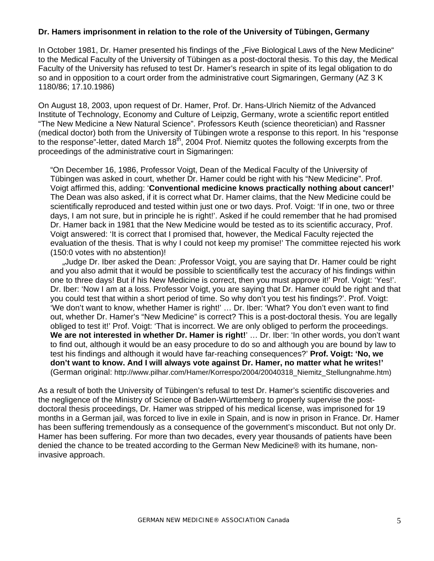### **Dr. Hamers imprisonment in relation to the role of the University of Tübingen, Germany**

In October 1981, Dr. Hamer presented his findings of the "Five Biological Laws of the New Medicine" to the Medical Faculty of the University of Tübingen as a post-doctoral thesis. To this day, the Medical Faculty of the University has refused to test Dr. Hamer's research in spite of its legal obligation to do so and in opposition to a court order from the administrative court Sigmaringen, Germany (AZ 3 K) 1180/86; 17.10.1986)

On August 18, 2003, upon request of Dr. Hamer, Prof. Dr. Hans-Ulrich Niemitz of the Advanced Institute of Technology, Economy and Culture of Leipzig, Germany, wrote a scientific report entitled "The New Medicine a New Natural Science". Professors Keuth (science theoretician) and Rassner (medical doctor) both from the University of Tübingen wrote a response to this report. In his "response to the response"-letter, dated March 18<sup>th</sup>, 2004 Prof. Niemitz quotes the following excerpts from the proceedings of the administrative court in Sigmaringen:

"On December 16, 1986, Professor Voigt, Dean of the Medical Faculty of the University of Tübingen was asked in court, whether Dr. Hamer could be right with his "New Medicine". Prof. Voigt affirmed this, adding: '**Conventional medicine knows practically nothing about cancer!'** The Dean was also asked, if it is correct what Dr. Hamer claims, that the New Medicine could be scientifically reproduced and tested within just one or two days. Prof. Voigt: 'If in one, two or three days, I am not sure, but in principle he is right!'. Asked if he could remember that he had promised Dr. Hamer back in 1981 that the New Medicine would be tested as to its scientific accuracy, Prof. Voigt answered: 'It is correct that I promised that, however, the Medical Faculty rejected the evaluation of the thesis. That is why I could not keep my promise!' The committee rejected his work (150:0 votes with no abstention)!

"Judge Dr. Iber asked the Dean: 'Professor Voigt, you are saying that Dr. Hamer could be right and you also admit that it would be possible to scientifically test the accuracy of his findings within one to three days! But if his New Medicine is correct, then you must approve it!' Prof. Voigt: 'Yes!'. Dr. Iber: 'Now I am at a loss. Professor Voigt, you are saying that Dr. Hamer could be right and that you could test that within a short period of time. So why don't you test his findings?'. Prof. Voigt: 'We don't want to know, whether Hamer is right!' … Dr. Iber: 'What? You don't even want to find out, whether Dr. Hamer's "New Medicine" is correct? This is a post-doctoral thesis. You are legally obliged to test it!' Prof. Voigt: 'That is incorrect. We are only obliged to perform the proceedings. We are not interested in whether Dr. Hamer is right!' ... Dr. Iber: 'In other words, you don't want to find out, although it would be an easy procedure to do so and although you are bound by law to test his findings and although it would have far-reaching consequences?' **Prof. Voigt: 'No, we don't want to know. And I will always vote against Dr. Hamer, no matter what he writes!'**  (German original: http://www.pilhar.com/Hamer/Korrespo/2004/20040318\_Niemitz\_Stellungnahme.htm)

As a result of both the University of Tübingen's refusal to test Dr. Hamer's scientific discoveries and the negligence of the Ministry of Science of Baden-Württemberg to properly supervise the postdoctoral thesis proceedings, Dr. Hamer was stripped of his medical license, was imprisoned for 19 months in a German jail, was forced to live in exile in Spain, and is now in prison in France. Dr. Hamer has been suffering tremendously as a consequence of the government's misconduct. But not only Dr. Hamer has been suffering. For more than two decades, every year thousands of patients have been denied the chance to be treated according to the German New Medicine® with its humane, noninvasive approach.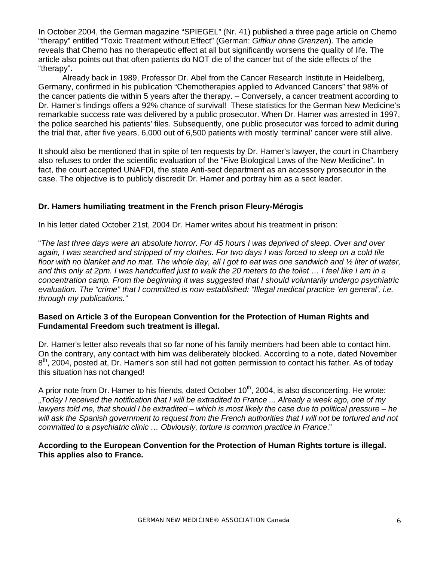In October 2004, the German magazine "SPIEGEL" (Nr. 41) published a three page article on Chemo "therapy" entitled "Toxic Treatment without Effect" (German: *Giftkur ohne Grenzen*). The article reveals that Chemo has no therapeutic effect at all but significantly worsens the quality of life. The article also points out that often patients do NOT die of the cancer but of the side effects of the "therapy".

Already back in 1989, Professor Dr. Abel from the Cancer Research Institute in Heidelberg, Germany, confirmed in his publication "Chemotherapies applied to Advanced Cancers" that 98% of the cancer patients die within 5 years after the therapy. – Conversely, a cancer treatment according to Dr. Hamer's findings offers a 92% chance of survival! These statistics for the German New Medicine's remarkable success rate was delivered by a public prosecutor. When Dr. Hamer was arrested in 1997, the police searched his patients' files. Subsequently, one public prosecutor was forced to admit during the trial that, after five years, 6,000 out of 6,500 patients with mostly 'terminal' cancer were still alive.

It should also be mentioned that in spite of ten requests by Dr. Hamer's lawyer, the court in Chambery also refuses to order the scientific evaluation of the "Five Biological Laws of the New Medicine". In fact, the court accepted UNAFDI, the state Anti-sect department as an accessory prosecutor in the case. The objective is to publicly discredit Dr. Hamer and portray him as a sect leader.

# **Dr. Hamers humiliating treatment in the French prison Fleury-Mérogis**

In his letter dated October 21st, 2004 Dr. Hamer writes about his treatment in prison:

"*The last three days were an absolute horror. For 45 hours I was deprived of sleep. Over and over again, I was searched and stripped of my clothes. For two days I was forced to sleep on a cold tile floor with no blanket and no mat. The whole day, all I got to eat was one sandwich and ½ liter of water, and this only at 2pm. I was handcuffed just to walk the 20 meters to the toilet … I feel like I am in a concentration camp. From the beginning it was suggested that I should voluntarily undergo psychiatric evaluation. The "crime" that I committed is now established: "Illegal medical practice 'en general', i.e. through my publications."* 

## **Based on Article 3 of the European Convention for the Protection of Human Rights and Fundamental Freedom such treatment is illegal.**

Dr. Hamer's letter also reveals that so far none of his family members had been able to contact him. On the contrary, any contact with him was deliberately blocked. According to a note, dated November 8<sup>th</sup>, 2004, posted at, Dr. Hamer's son still had not gotten permission to contact his father. As of today this situation has not changed!

A prior note from Dr. Hamer to his friends, dated October  $10<sup>th</sup>$ , 2004, is also disconcerting. He wrote: "*Today I received the notification that I will be extradited to France ... Already a week ago, one of my lawyers told me, that should I be extradited – which is most likely the case due to political pressure – he will ask the Spanish government to request from the French authorities that I will not be tortured and not committed to a psychiatric clinic … Obviously, torture is common practice in France*."

**According to the European Convention for the Protection of Human Rights torture is illegal. This applies also to France.**